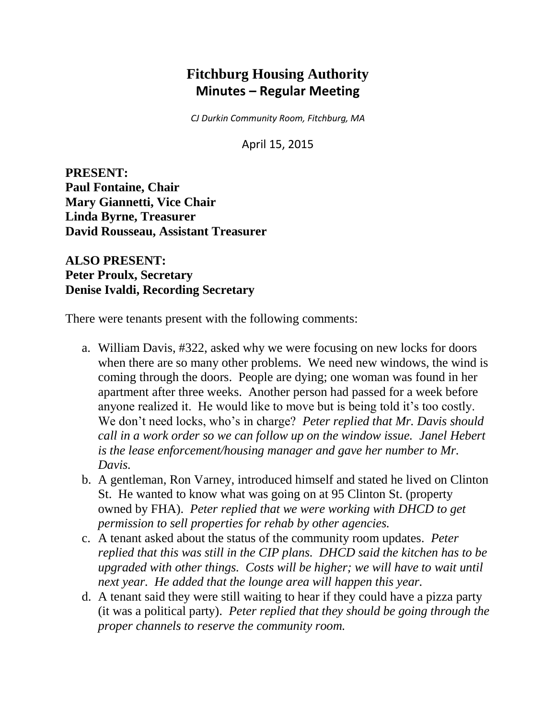# **Fitchburg Housing Authority Minutes – Regular Meeting**

*CJ Durkin Community Room, Fitchburg, MA*

April 15, 2015

**PRESENT: Paul Fontaine, Chair Mary Giannetti, Vice Chair Linda Byrne, Treasurer David Rousseau, Assistant Treasurer**

## **ALSO PRESENT: Peter Proulx, Secretary Denise Ivaldi, Recording Secretary**

There were tenants present with the following comments:

- a. William Davis, #322, asked why we were focusing on new locks for doors when there are so many other problems. We need new windows, the wind is coming through the doors. People are dying; one woman was found in her apartment after three weeks. Another person had passed for a week before anyone realized it. He would like to move but is being told it's too costly. We don't need locks, who's in charge? *Peter replied that Mr. Davis should call in a work order so we can follow up on the window issue. Janel Hebert is the lease enforcement/housing manager and gave her number to Mr. Davis.*
- b. A gentleman, Ron Varney, introduced himself and stated he lived on Clinton St. He wanted to know what was going on at 95 Clinton St. (property owned by FHA). *Peter replied that we were working with DHCD to get permission to sell properties for rehab by other agencies.*
- c. A tenant asked about the status of the community room updates. *Peter replied that this was still in the CIP plans. DHCD said the kitchen has to be upgraded with other things. Costs will be higher; we will have to wait until next year. He added that the lounge area will happen this year.*
- d. A tenant said they were still waiting to hear if they could have a pizza party (it was a political party). *Peter replied that they should be going through the proper channels to reserve the community room.*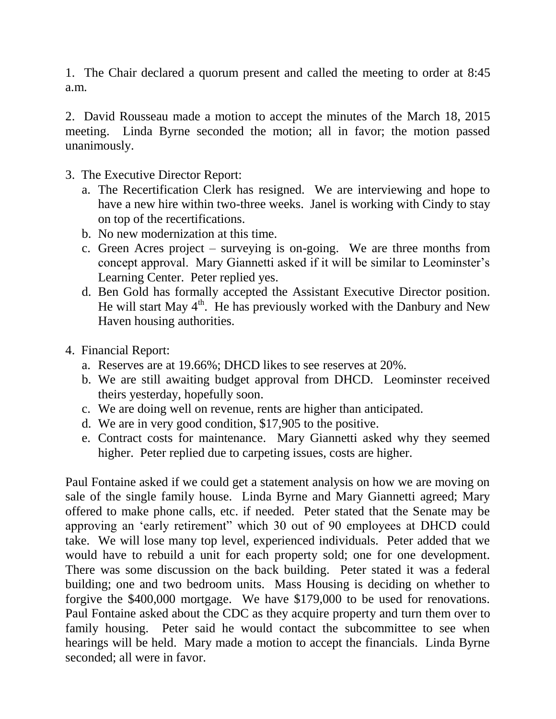1. The Chair declared a quorum present and called the meeting to order at 8:45 a.m.

2. David Rousseau made a motion to accept the minutes of the March 18, 2015 meeting. Linda Byrne seconded the motion; all in favor; the motion passed unanimously.

- 3. The Executive Director Report:
	- a. The Recertification Clerk has resigned. We are interviewing and hope to have a new hire within two-three weeks. Janel is working with Cindy to stay on top of the recertifications.
	- b. No new modernization at this time.
	- c. Green Acres project surveying is on-going. We are three months from concept approval. Mary Giannetti asked if it will be similar to Leominster's Learning Center. Peter replied yes.
	- d. Ben Gold has formally accepted the Assistant Executive Director position. He will start May  $4<sup>th</sup>$ . He has previously worked with the Danbury and New Haven housing authorities.
- 4. Financial Report:
	- a. Reserves are at 19.66%; DHCD likes to see reserves at 20%.
	- b. We are still awaiting budget approval from DHCD. Leominster received theirs yesterday, hopefully soon.
	- c. We are doing well on revenue, rents are higher than anticipated.
	- d. We are in very good condition, \$17,905 to the positive.
	- e. Contract costs for maintenance. Mary Giannetti asked why they seemed higher. Peter replied due to carpeting issues, costs are higher.

Paul Fontaine asked if we could get a statement analysis on how we are moving on sale of the single family house. Linda Byrne and Mary Giannetti agreed; Mary offered to make phone calls, etc. if needed. Peter stated that the Senate may be approving an 'early retirement" which 30 out of 90 employees at DHCD could take. We will lose many top level, experienced individuals. Peter added that we would have to rebuild a unit for each property sold; one for one development. There was some discussion on the back building. Peter stated it was a federal building; one and two bedroom units. Mass Housing is deciding on whether to forgive the \$400,000 mortgage. We have \$179,000 to be used for renovations. Paul Fontaine asked about the CDC as they acquire property and turn them over to family housing. Peter said he would contact the subcommittee to see when hearings will be held. Mary made a motion to accept the financials. Linda Byrne seconded; all were in favor.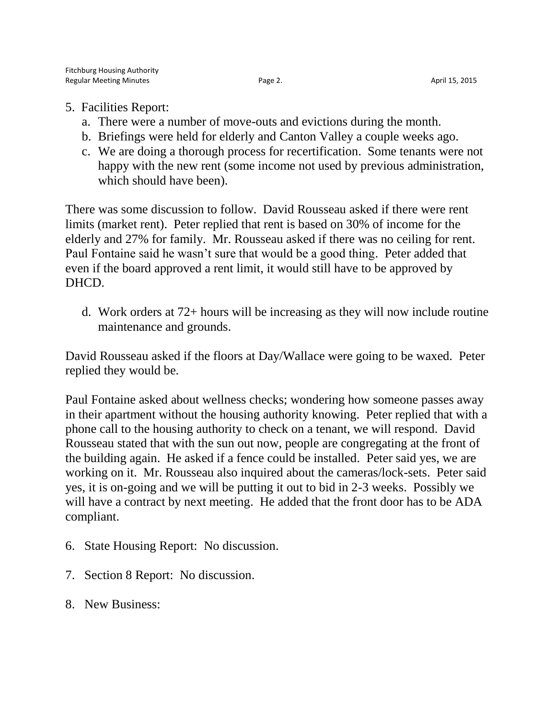- 5. Facilities Report:
	- a. There were a number of move-outs and evictions during the month.
	- b. Briefings were held for elderly and Canton Valley a couple weeks ago.
	- c. We are doing a thorough process for recertification. Some tenants were not happy with the new rent (some income not used by previous administration, which should have been).

There was some discussion to follow. David Rousseau asked if there were rent limits (market rent). Peter replied that rent is based on 30% of income for the elderly and 27% for family. Mr. Rousseau asked if there was no ceiling for rent. Paul Fontaine said he wasn't sure that would be a good thing. Peter added that even if the board approved a rent limit, it would still have to be approved by DHCD.

d. Work orders at 72+ hours will be increasing as they will now include routine maintenance and grounds.

David Rousseau asked if the floors at Day/Wallace were going to be waxed. Peter replied they would be.

Paul Fontaine asked about wellness checks; wondering how someone passes away in their apartment without the housing authority knowing. Peter replied that with a phone call to the housing authority to check on a tenant, we will respond. David Rousseau stated that with the sun out now, people are congregating at the front of the building again. He asked if a fence could be installed. Peter said yes, we are working on it. Mr. Rousseau also inquired about the cameras/lock-sets. Peter said yes, it is on-going and we will be putting it out to bid in 2-3 weeks. Possibly we will have a contract by next meeting. He added that the front door has to be ADA compliant.

- 6. State Housing Report: No discussion.
- 7. Section 8 Report: No discussion.
- 8. New Business: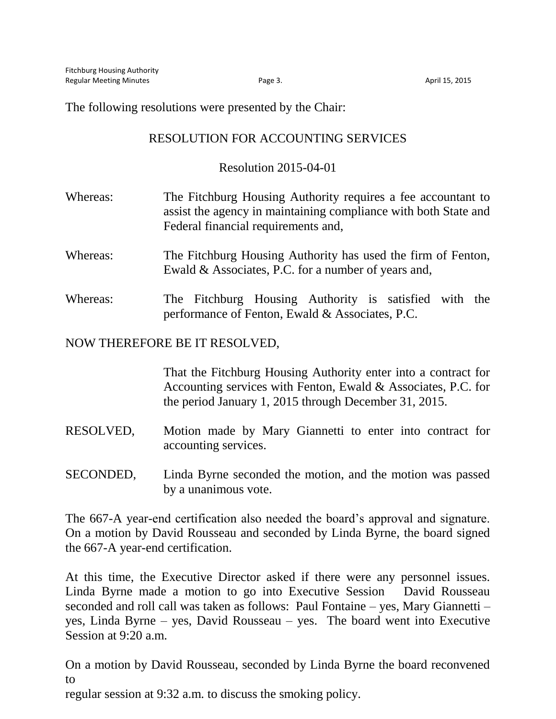The following resolutions were presented by the Chair:

## RESOLUTION FOR ACCOUNTING SERVICES

#### Resolution 2015-04-01

- Whereas: The Fitchburg Housing Authority requires a fee accountant to assist the agency in maintaining compliance with both State and Federal financial requirements and,
- Whereas: The Fitchburg Housing Authority has used the firm of Fenton, Ewald & Associates, P.C. for a number of years and,
- Whereas: The Fitchburg Housing Authority is satisfied with the performance of Fenton, Ewald & Associates, P.C.

### NOW THEREFORE BE IT RESOLVED,

That the Fitchburg Housing Authority enter into a contract for Accounting services with Fenton, Ewald & Associates, P.C. for the period January 1, 2015 through December 31, 2015.

- RESOLVED, Motion made by Mary Giannetti to enter into contract for accounting services.
- SECONDED, Linda Byrne seconded the motion, and the motion was passed by a unanimous vote.

The 667-A year-end certification also needed the board's approval and signature. On a motion by David Rousseau and seconded by Linda Byrne, the board signed the 667-A year-end certification.

At this time, the Executive Director asked if there were any personnel issues. Linda Byrne made a motion to go into Executive Session David Rousseau seconded and roll call was taken as follows: Paul Fontaine – yes, Mary Giannetti – yes, Linda Byrne – yes, David Rousseau – yes. The board went into Executive Session at 9:20 a.m.

On a motion by David Rousseau, seconded by Linda Byrne the board reconvened to

regular session at 9:32 a.m. to discuss the smoking policy.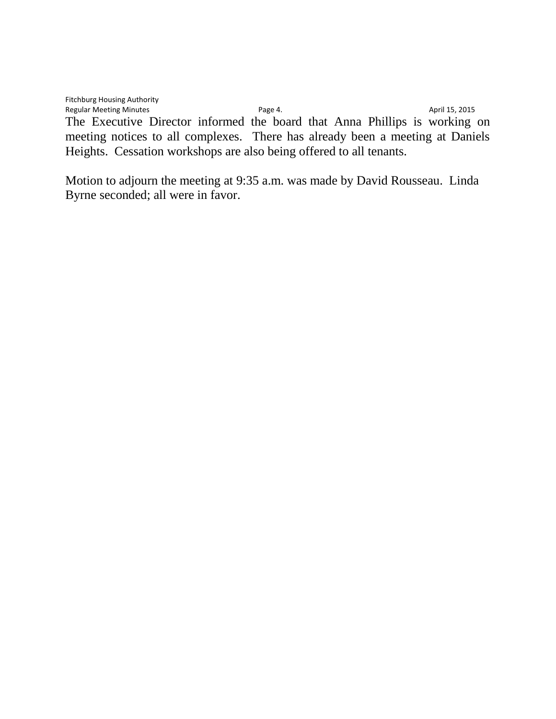Fitchburg Housing Authority Regular Meeting Minutes **Page 4.** Page 4. April 15, 2015 The Executive Director informed the board that Anna Phillips is working on meeting notices to all complexes. There has already been a meeting at Daniels Heights. Cessation workshops are also being offered to all tenants.

Motion to adjourn the meeting at 9:35 a.m. was made by David Rousseau. Linda Byrne seconded; all were in favor.